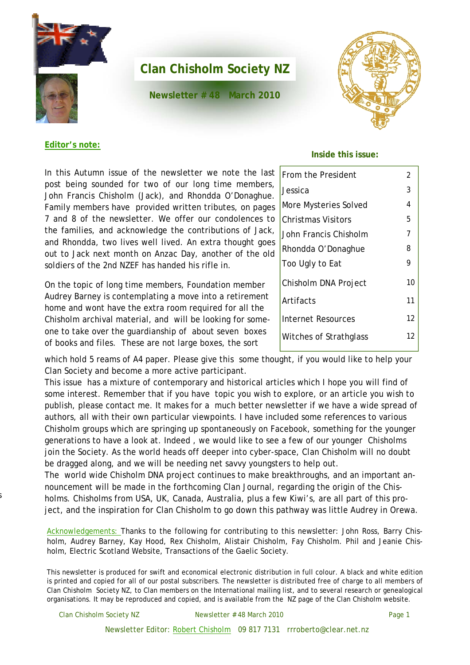

**Newsletter # 48 March 2010** 



#### **Editor's note:**

In this Autumn issue of the newsletter we note the last post being sounded for two of our long time members, John Francis Chisholm (Jack), and Rhondda O'Donaghue. Family members have provided written tributes, on pages 7 and 8 of the newsletter. We offer our condolences to the families, and acknowledge the contributions of Jack, and Rhondda, two lives well lived. An extra thought goes out to Jack next month on Anzac Day, another of the old soldiers of the 2nd NZEF has handed his rifle in.

On the topic of long time members, Foundation member Audrey Barney is contemplating a move into a retirement home and wont have the extra room required for all the Chisholm archival material, and will be looking for someone to take over the guardianship of about seven boxes of books and files. These are not large boxes, the sort

#### **Inside this issue:**

| From the President     | 2  |
|------------------------|----|
| Jessica                | 3  |
| More Mysteries Solved  | 4  |
| Christmas Visitors     | 5  |
| John Francis Chisholm  | 7  |
| Rhondda O'Donaghue     | 8  |
| Too Ugly to Eat        | 9  |
| Chisholm DNA Project   | 10 |
| Artifacts              | 11 |
| Internet Resources     | 12 |
| Witches of Strathglass | 12 |
|                        |    |

which hold 5 reams of A4 paper. Please give this some thought, if you would like to help your Clan Society and become a more active participant.

This issue has a mixture of contemporary and historical articles which I hope you will find of some interest. Remember that if you have topic you wish to explore, or an article you wish to publish, please contact me. It makes for a much better newsletter if we have a wide spread of authors, all with their own particular viewpoints. I have included some references to various Chisholm groups which are springing up spontaneously on Facebook, something for the younger generations to have a look at. Indeed , we would like to see a few of our younger Chisholms join the Society. As the world heads off deeper into cyber-space, Clan Chisholm will no doubt be dragged along, and we will be needing net savvy youngsters to help out.

The world wide Chisholm DNA project continues to make breakthroughs, and an important announcement will be made in the forthcoming Clan Journal, regarding the origin of the Chisholms. Chisholms from USA, UK, Canada, Australia, plus a few Kiwi's, are all part of this project, and the inspiration for Clan Chisholm to go down this pathway was little Audrey in Orewa.

Acknowledgements: Thanks to the following for contributing to this newsletter: John Ross, Barry Chisholm, Audrey Barney, Kay Hood, Rex Chisholm, Alistair Chisholm, Fay Chisholm. Phil and Jeanie Chisholm, Electric Scotland Website, Transactions of the Gaelic Society.

This newsletter is produced for swift and economical electronic distribution in full colour. A black and white edition is printed and copied for all of our postal subscribers. The newsletter is distributed free of charge to all members of Clan Chisholm Society NZ, to Clan members on the International mailing list, and to several research or genealogical organisations. It may be reproduced and copied, and is available from the NZ page of the Clan Chisholm website.

s

Clan Chisholm Society NZ Newsletter # 48 March 2010

Newsletter Editor: Robert Chisholm 09 817 7131 rrroberto@clear.net.nz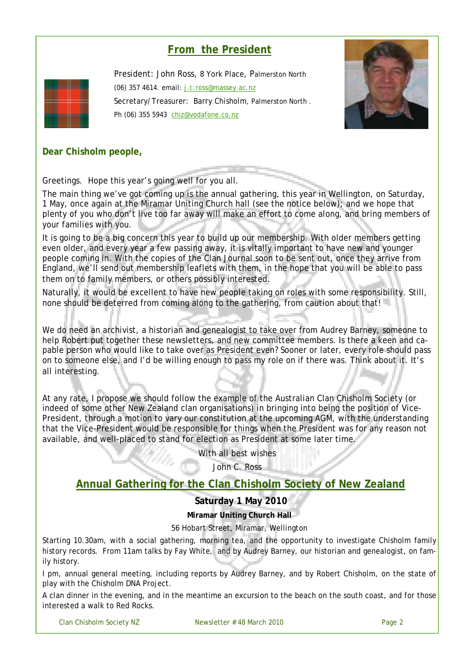# **From the President**



President: John Ross, 8 York Place, Palmerston North (06) 357 4614. email: j.c.ross@massey.ac.nz Secretary/Treasurer: Barry Chisholm, Palmerston North . Ph (06) 355 5943 chiz@vodafone.co.nz



# **Dear Chisholm people,**

Greetings. Hope this year's going well for you all.

The main thing we've got coming up is the annual gathering, this year in Wellington, on Saturday, 1 May, once again at the Miramar Uniting Church hall (see the notice below); and we hope that plenty of you who don't live too far away will make an effort to come along, and bring members of your families with you.

It is going to be a big concern this year to build up our membership. With older members getting even older, and every year a few passing away, it is vitally important to have new and younger people coming in. With the copies of the Clan Journal soon to be sent out, once they arrive from England, we'll send out membership leaflets with them, in the hope that you will be able to pass them on to family members, or others possibly interested.

Naturally, it would be excellent to have new people taking on roles with some responsibility. Still, none should be deterred from coming along to the gathering, from caution about that!

We do need an archivist, a historian and genealogist to take over from Audrey Barney, someone to help Robert put together these newsletters, and new committee members. Is there a keen and capable person who would like to take over as President even? Sooner or later, every role should pass on to someone else, and I'd be willing enough to pass my role on if there was. Think about it. It's all interesting.

At any rate, I propose we should follow the example of the Australian Clan Chisholm Society (or indeed of some other New Zealand clan organisations) in bringing into being the position of Vice-President, through a motion to vary our constitution at the upcoming AGM, with the understanding that the Vice-President would be responsible for things when the President was for any reason not available, and well-placed to stand for election as President at some later time.

With all best wishes

John C. Ross

# **Annual Gathering for the Clan Chisholm Society of New Zealand**

**Saturday 1 May 2010**

**Miramar Uniting Church Hall**

#### 56 Hobart Street, Miramar, Wellington

Starting 10.30am, with a social gathering, morning tea, and the opportunity to investigate Chisholm family history records. From 11am talks by Fay White, and by Audrey Barney, our historian and genealogist, on family history.

I pm, annual general meeting, including reports by Audrey Barney, and by Robert Chisholm, on the state of play with the Chisholm DNA Project.

A clan dinner in the evening, and in the meantime an excursion to the beach on the south coast, and for those interested a walk to Red Rocks.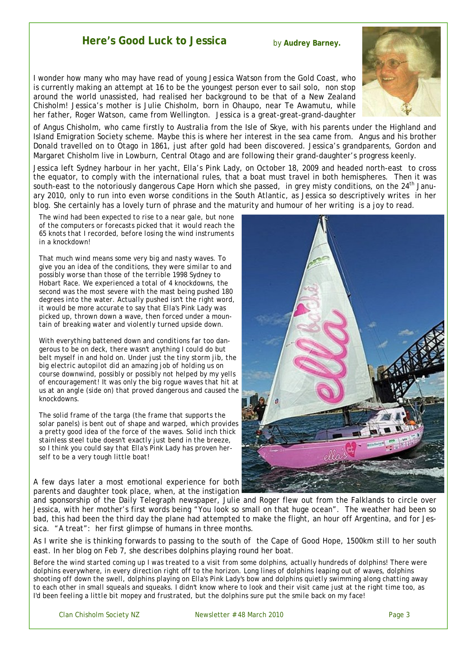# **Here's Good Luck to Jessica**

by **Audrey Barney.** 

I wonder how many who may have read of young Jessica Watson from the Gold Coast, who is currently making an attempt at 16 to be the youngest person ever to sail solo, non stop around the world unassisted, had realised her background to be that of a New Zealand Chisholm! Jessica's mother is Julie Chisholm, born in Ohaupo, near Te Awamutu, while her father, Roger Watson, came from Wellington. Jessica is a great-great-grand-daughter



of Angus Chisholm, who came firstly to Australia from the Isle of Skye, with his parents under the Highland and Island Emigration Society scheme. Maybe this is where her interest in the sea came from. Angus and his brother Donald travelled on to Otago in 1861, just after gold had been discovered. Jessica's grandparents, Gordon and Margaret Chisholm live in Lowburn, Central Otago and are following their grand-daughter's progress keenly.

Jessica left Sydney harbour in her yacht, Ella's Pink Lady, on October 18, 2009 and headed north-east to cross the equator, to comply with the international rules, that a boat must travel in both hemispheres. Then it was south-east to the notoriously dangerous Cape Horn which she passed, in grey misty conditions, on the 24<sup>th</sup> January 2010, only to run into even worse conditions in the South Atlantic, as Jessica so descriptively writes in her blog. She certainly has a lovely turn of phrase and the maturity and humour of her writing is a joy to read.

*The wind had been expected to rise to a near gale, but none of the computers or forecasts picked that it would reach the 65 knots that I recorded, before losing the wind instruments in a knockdown!* 

*That much wind means some very big and nasty waves. To give you an idea of the conditions, they were similar to and possibly worse than those of the terrible 1998 Sydney to Hobart Race. We experienced a total of 4 knockdowns, the second was the most severe with the mast being pushed 180 degrees into the water. Actually pushed isn't the right word, it would be more accurate to say that Ella's Pink Lady was picked up, thrown down a wave, then forced under a mountain of breaking water and violently turned upside down.* 

*With everything battened down and conditions far too dangerous to be on deck, there wasn't anything I could do but belt myself in and hold on. Under just the tiny storm jib, the big electric autopilot did an amazing job of holding us on course downwind, possibly or possibly not helped by my yells of encouragement! It was only the big rogue waves that hit at us at an angle (side on) that proved dangerous and caused the knockdowns.* 

*The solid frame of the targa (the frame that supports the solar panels) is bent out of shape and warped, which provides a pretty good idea of the force of the waves. Solid inch thick stainless steel tube doesn't exactly just bend in the breeze, so I think you could say that Ella's Pink Lady has proven herself to be a very tough little boat!* 

A few days later a most emotional experience for both parents and daughter took place, when, at the instigation



and sponsorship of the *Daily Telegraph* newspaper, Julie and Roger flew out from the Falklands to circle over Jessica, with her mother's first words being "You look so small on that huge ocean". The weather had been so bad, this had been the third day the plane had attempted to make the flight, an hour off Argentina, and for Jessica. "A treat": her first glimpse of humans in three months.

As I write she is thinking forwards to passing to the south of the Cape of Good Hope, 1500km still to her south east. In her blog on Feb 7, she describes dolphins playing round her boat.

*Before the wind started coming up I was treated to a visit from some dolphins, actually hundreds of dolphins! There were dolphins everywhere, in every direction right off to the horizon. Long lines of dolphins leaping out of waves, dolphins shooting off down the swell, dolphins playing on Ella's Pink Lady's bow and dolphins quietly swimming along chatting away to each other in small squeals and squeaks. I didn't know where to look and their visit came just at the right time too, as I'd been feeling a little bit mopey and frustrated, but the dolphins sure put the smile back on my face!*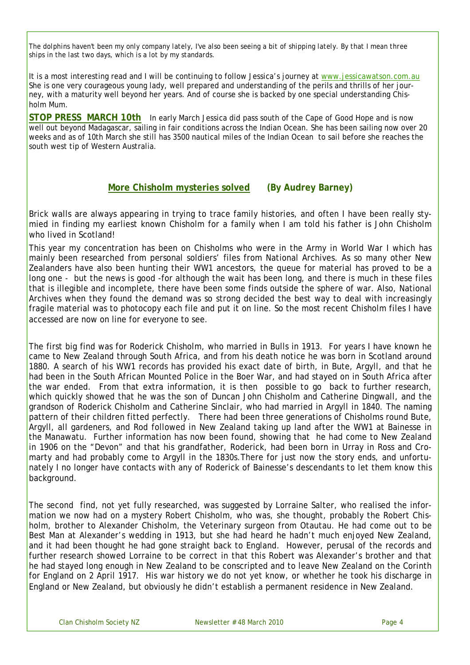*The dolphins haven't been my only company lately, I've also been seeing a bit of shipping lately. By that I mean three ships in the last two days, which is a lot by my standards.*

It is a most interesting read and I will be continuing to follow Jessica's journey at www.jessicawatson.com.au She is one very courageous young lady, well prepared and understanding of the perils and thrills of her journey, with a maturity well beyond her years. And of course she is backed by one special understanding Chisholm Mum.

**STOP PRESS MARCH 10th** In early March Jessica did pass south of the Cape of Good Hope and is now well out beyond Madagascar, sailing in fair conditions across the Indian Ocean. She has been sailing now over 20 weeks and as of 10th March she still has 3500 nautical miles of the Indian Ocean to sail before she reaches the south west tip of Western Australia.

# **More Chisholm mysteries solved (By Audrey Barney)**

Brick walls are always appearing in trying to trace family histories, and often I have been really stymied in finding my earliest known Chisholm for a family when I am told his father is John Chisholm who lived in Scotland!

This year my concentration has been on Chisholms who were in the Army in World War I which has mainly been researched from personal soldiers' files from National Archives. As so many other New Zealanders have also been hunting their WW1 ancestors, the queue for material has proved to be a long one - but the news is good -for although the wait has been long, and there is much in these files that is illegible and incomplete, there have been some finds outside the sphere of war. Also, National Archives when they found the demand was so strong decided the best way to deal with increasingly fragile material was to photocopy each file and put it on line. So the most recent Chisholm files I have accessed are now on line for everyone to see.

The first big find was for Roderick Chisholm, who married in Bulls in 1913. For years I have known he came to New Zealand through South Africa, and from his death notice he was born in Scotland around 1880. A search of his WW1 records has provided his exact date of birth, in Bute, Argyll, and that he had been in the South African Mounted Police in the Boer War, and had stayed on in South Africa after the war ended. From that extra information, it is then possible to go back to further research, which quickly showed that he was the son of Duncan John Chisholm and Catherine Dingwall, and the grandson of Roderick Chisholm and Catherine Sinclair, who had married in Argyll in 1840. The naming pattern of their children fitted perfectly. There had been three generations of Chisholms round Bute, Argyll, all gardeners, and Rod followed in New Zealand taking up land after the WW1 at Bainesse in the Manawatu. Further information has now been found, showing that he had come to New Zealand in 1906 on the "Devon" and that his grandfather, Roderick, had been born in Urray in Ross and Cromarty and had probably come to Argyll in the 1830s.There for just now the story ends, and unfortunately I no longer have contacts with any of Roderick of Bainesse's descendants to let them know this background.

The second find, not yet fully researched, was suggested by Lorraine Salter, who realised the information we now had on a mystery Robert Chisholm, who was, she thought, probably the Robert Chisholm, brother to Alexander Chisholm, the Veterinary surgeon from Otautau. He had come out to be Best Man at Alexander's wedding in 1913, but she had heard he hadn't much enjoyed New Zealand, and it had been thought he had gone straight back to England. However, perusal of the records and further research showed Lorraine to be correct in that this Robert was Alexander's brother and that he had stayed long enough in New Zealand to be conscripted and to leave New Zealand on the Corinth for England on 2 April 1917. His war history we do not yet know, or whether he took his discharge in England or New Zealand, but obviously he didn't establish a permanent residence in New Zealand.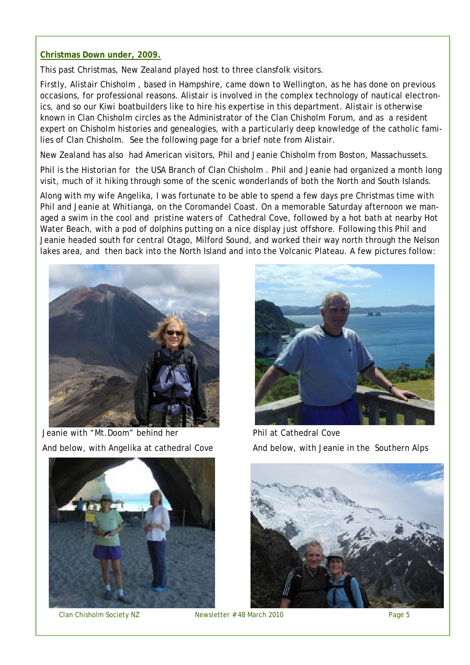#### **Christmas Down under, 2009.**

This past Christmas, New Zealand played host to three clansfolk visitors.

Firstly, Alistair Chisholm , based in Hampshire, came down to Wellington, as he has done on previous occasions, for professional reasons. Alistair is involved in the complex technology of nautical electronics, and so our Kiwi boatbuilders like to hire his expertise in this department. Alistair is otherwise known in Clan Chisholm circles as the Administrator of the Clan Chisholm Forum, and as a resident expert on Chisholm histories and genealogies, with a particularly deep knowledge of the catholic families of Clan Chisholm. See the following page for a brief note from Alistair.

New Zealand has also had American visitors, Phil and Jeanie Chisholm from Boston, Massachussets.

Phil is the Historian for the USA Branch of Clan Chisholm . Phil and Jeanie had organized a month long visit, much of it hiking through some of the scenic wonderlands of both the North and South Islands.

Along with my wife Angelika, I was fortunate to be able to spend a few days pre Christmas time with Phil and Jeanie at Whitianga, on the Coromandel Coast. On a memorable Saturday afternoon we managed a swim in the cool and pristine waters of Cathedral Cove, followed by a hot bath at nearby Hot Water Beach, with a pod of dolphins putting on a nice display just offshore. Following this Phil and Jeanie headed south for central Otago, Milford Sound, and worked their way north through the Nelson lakes area, and then back into the North Island and into the Volcanic Plateau. A few pictures follow:



Jeanie with "Mt.Doom" behind her And below, with Angelika at cathedral Cove





Phil at Cathedral Cove And below, with Jeanie in the Southern Alps

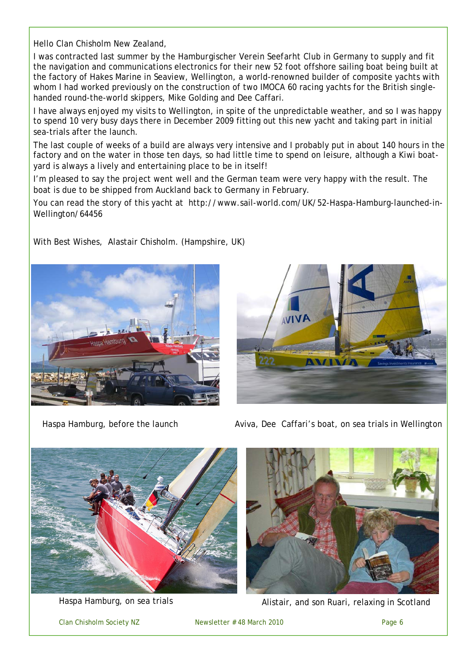Hello Clan Chisholm New Zealand,

I was contracted last summer by the *Hamburgischer Verein Seefarht* Club in Germany to supply and fit the navigation and communications electronics for their new 52 foot offshore sailing boat being built at the factory of Hakes Marine in Seaview, Wellington, a world-renowned builder of composite yachts with whom I had worked previously on the construction of two IMOCA 60 racing yachts for the British singlehanded round-the-world skippers, Mike Golding and Dee Caffari.

I have always enjoyed my visits to Wellington, in spite of the unpredictable weather, and so I was happy to spend 10 very busy days there in December 2009 fitting out this new yacht and taking part in initial sea-trials after the launch.

The last couple of weeks of a build are always very intensive and I probably put in about 140 hours in the factory and on the water in those ten days, so had little time to spend on leisure, although a Kiwi boatyard is always a lively and entertaining place to be in itself!

I'm pleased to say the project went well and the German team were very happy with the result. The boat is due to be shipped from Auckland back to Germany in February.

You can read the story of this yacht at http://www.sail-world.com/UK/52-Haspa-Hamburg-launched-in-Wellington/64456

With Best Wishes, Alastair Chisholm. (Hampshire, UK)





Haspa Hamburg, before the launch Aviva, Dee Caffari's boat, on sea trials in Wellington



Haspa Hamburg, on sea trials



Alistair, and son Ruari, relaxing in Scotland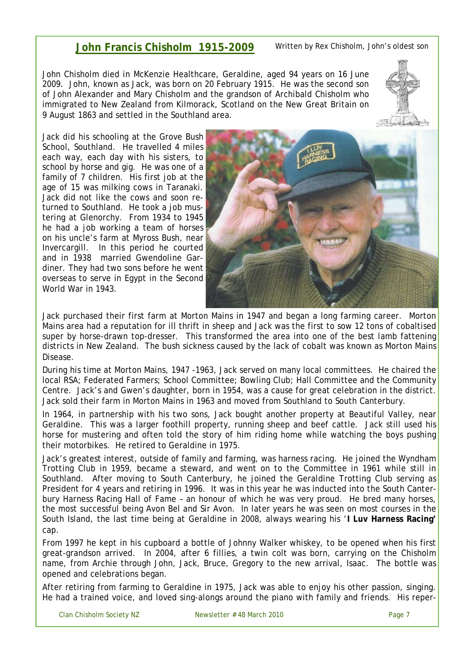# **John Francis Chisholm 1915-2009**

John Chisholm died in McKenzie Healthcare, Geraldine, aged 94 years on 16 June 2009. John, known as Jack, was born on 20 February 1915. He was the second son of John Alexander and Mary Chisholm and the grandson of Archibald Chisholm who immigrated to New Zealand from Kilmorack, Scotland on the New Great Britain on 9 August 1863 and settled in the Southland area.

Jack did his schooling at the Grove Bush School, Southland. He travelled 4 miles each way, each day with his sisters, to school by horse and gig. He was one of a family of 7 children. His first job at the age of 15 was milking cows in Taranaki. Jack did not like the cows and soon returned to Southland. He took a job mustering at Glenorchy. From 1934 to 1945 he had a job working a team of horses on his uncle's farm at Myross Bush, near Invercargill. In this period he courted and in 1938 married Gwendoline Gardiner. They had two sons before he went overseas to serve in Egypt in the Second World War in 1943.



Jack purchased their first farm at Morton Mains in 1947 and began a long farming career. Morton Mains area had a reputation for ill thrift in sheep and Jack was the first to sow 12 tons of cobaltised super by horse-drawn top-dresser. This transformed the area into one of the best lamb fattening districts in New Zealand. The bush sickness caused by the lack of cobalt was known as Morton Mains Disease.

During his time at Morton Mains, 1947 -1963, Jack served on many local committees. He chaired the local RSA; Federated Farmers; School Committee; Bowling Club; Hall Committee and the Community Centre. Jack's and Gwen's daughter, born in 1954, was a cause for great celebration in the district. Jack sold their farm in Morton Mains in 1963 and moved from Southland to South Canterbury.

In 1964, in partnership with his two sons, Jack bought another property at Beautiful Valley, near Geraldine. This was a larger foothill property, running sheep and beef cattle. Jack still used his horse for mustering and often told the story of him riding home while watching the boys pushing their motorbikes. He retired to Geraldine in 1975.

Jack's greatest interest, outside of family and farming, was harness racing. He joined the Wyndham Trotting Club in 1959, became a steward, and went on to the Committee in 1961 while still in Southland. After moving to South Canterbury, he joined the Geraldine Trotting Club serving as President for 4 years and retiring in 1996. It was in this year he was inducted into the South Canterbury Harness Racing Hall of Fame – an honour of which he was very proud. He bred many horses, the most successful being Avon Bel and Sir Avon. In later years he was seen on most courses in the South Island, the last time being at Geraldine in 2008, always wearing his '**I Luv Harness Racing'** cap.

From 1997 he kept in his cupboard a bottle of Johnny Walker whiskey, to be opened when his first great-grandson arrived. In 2004, after 6 fillies, a twin colt was born, carrying on the Chisholm name, from Archie through John, Jack, Bruce, Gregory to the new arrival, Isaac. The bottle was opened and celebrations began.

After retiring from farming to Geraldine in 1975, Jack was able to enjoy his other passion, singing. He had a trained voice, and loved sing-alongs around the piano with family and friends. His reper-

Written by Rex Chisholm, John's oldest son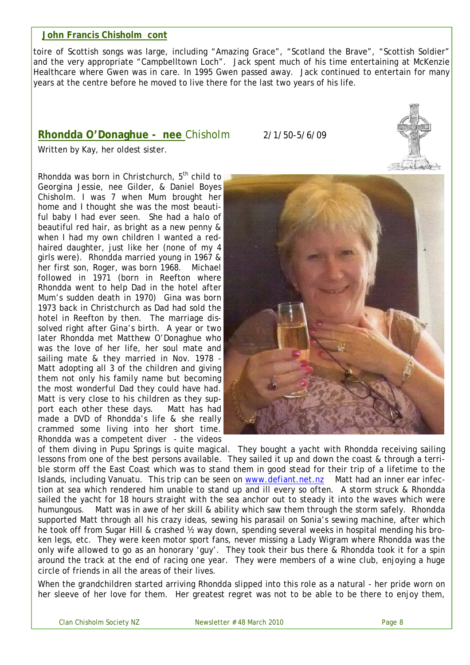### **John Francis Chisholm cont**

toire of Scottish songs was large, including "Amazing Grace", "Scotland the Brave", "Scottish Soldier" and the very appropriate "Campbelltown Loch". Jack spent much of his time entertaining at McKenzie Healthcare where Gwen was in care. In 1995 Gwen passed away. Jack continued to entertain for many years at the centre before he moved to live there for the last two years of his life.

# **Rhondda O'Donaghue - nee** Chisholm 2/1/50-5/6/09



Rhondda was born in Christchurch,  $5<sup>th</sup>$  child to Georgina Jessie, nee Gilder, & Daniel Boyes Chisholm. I was 7 when Mum brought her home and I thought she was the most beautiful baby I had ever seen. She had a halo of beautiful red hair, as bright as a new penny & when I had my own children I wanted a redhaired daughter, just like her (none of my 4 girls were). Rhondda married young in 1967 & her first son, Roger, was born 1968. Michael followed in 1971 (born in Reefton where Rhondda went to help Dad in the hotel after Mum's sudden death in 1970) Gina was born 1973 back in Christchurch as Dad had sold the hotel in Reefton by then. The marriage dissolved right after Gina's birth. A year or two later Rhondda met Matthew O'Donaghue who was the love of her life, her soul mate and sailing mate & they married in Nov. 1978 - Matt adopting all 3 of the children and giving them not only his family name but becoming the most wonderful Dad they could have had. Matt is very close to his children as they support each other these days. Matt has had made a DVD of Rhondda's life & she really crammed some living into her short time. Rhondda was a competent diver - the videos



of them diving in Pupu Springs is quite magical. They bought a yacht with Rhondda receiving sailing lessons from one of the best persons available. They sailed it up and down the coast & through a terrible storm off the East Coast which was to stand them in good stead for their trip of a lifetime to the Islands, including Vanuatu. This trip can be seen on www.defiant.net.nz Matt had an inner ear infection at sea which rendered him unable to stand up and ill every so often. A storm struck & Rhondda sailed the yacht for 18 hours straight with the sea anchor out to steady it into the waves which were humungous. Matt was in awe of her skill & ability which saw them through the storm safely. Rhondda supported Matt through all his crazy ideas, sewing his parasail on Sonia's sewing machine, after which he took off from Sugar Hill & crashed 1/2 way down, spending several weeks in hospital mending his broken legs, etc. They were keen motor sport fans, never missing a Lady Wigram where Rhondda was the only wife allowed to go as an honorary 'guy'. They took their bus there & Rhondda took it for a spin around the track at the end of racing one year. They were members of a wine club, enjoying a huge circle of friends in all the areas of their lives.

When the grandchildren started arriving Rhondda slipped into this role as a natural - her pride worn on her sleeve of her love for them. Her greatest regret was not to be able to be there to enjoy them,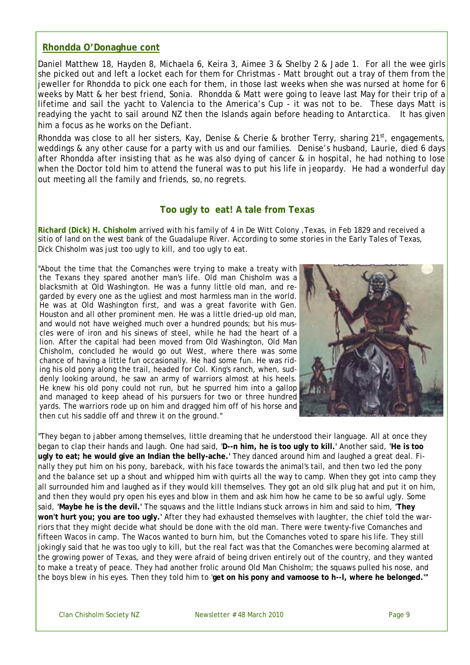#### **Rhondda O'Donaghue cont**

Daniel Matthew 18, Hayden 8, Michaela 6, Keira 3, Aimee 3 & Shelby 2 & Jade 1. For all the wee girls she picked out and left a locket each for them for Christmas - Matt brought out a tray of them from the jeweller for Rhondda to pick one each for them, in those last weeks when she was nursed at home for 6 weeks by Matt & her best friend, Sonia. Rhondda & Matt were going to leave last May for their trip of a lifetime and sail the yacht to Valencia to the America's Cup - it was not to be. These days Matt is readying the yacht to sail around NZ then the Islands again before heading to Antarctica. It has given him a focus as he works on the Defiant.

Rhondda was close to all her sisters, Kay, Denise & Cherie & brother Terry, sharing 21<sup>st</sup>, engagements, weddings & any other cause for a party with us and our families. Denise's husband, Laurie, died 6 days after Rhondda after insisting that as he was also dying of cancer & in hospital, he had nothing to lose when the Doctor told him to attend the funeral was to put his life in jeopardy. He had a wonderful day out meeting all the family and friends, so, no regrets.

#### **Too ugly to eat! A tale from Texas**

**Richard (Dick) H. Chisholm** arrived with his family of 4 in De Witt Colony ,Texas, in Feb 1829 and received a sitio of land on the west bank of the Guadalupe River. According to some stories in the Early Tales of Texas, Dick Chisholm was just too ugly to kill, and too ugly to eat.

"About the time that the Comanches were trying to make a treaty with the Texans they spared another man's life. Old man Chisholm was a blacksmith at Old Washington. He was a funny little old man, and regarded by every one as the ugliest and most harmless man in the world. He was at Old Washington first, and was a great favorite with Gen. Houston and all other prominent men. He was a little dried-up old man, and would not have weighed much over a hundred pounds; but his muscles were of iron and his sinews of steel, while he had the heart of a lion. After the capital had been moved from Old Washington, Old Man Chisholm, concluded he would go out West, where there was some chance of having a little fun occasionally. He had some fun. He was riding his old pony along the trail, headed for Col. King's ranch, when, suddenly looking around, he saw an army of warriors almost at his heels. He knew his old pony could not run, but he spurred him into a gallop and managed to keep ahead of his pursuers for two or three hundred yards. The warriors rode up on him and dragged him off of his horse and then cut his saddle off and threw it on the ground."



"They began to jabber among themselves, little dreaming that he understood their language. All at once they began to clap their hands and laugh. One had said, '**D--n him, he is too ugly to kill.'** Another said, **'He is too ugly to eat; he would give an Indian the belly-ache.'** They danced around him and laughed a great deal. Finally they put him on his pony, bareback, with his face towards the animal's tail, and then two led the pony and the balance set up a shout and whipped him with quirts all the way to camp. When they got into camp they all surrounded him and laughed as if they would kill themselves. They got an old silk plug hat and put it on him, and then they would pry open his eyes and blow in them and ask him how he came to be so awful ugly. Some said, **'Maybe he is the devil.'** The squaws and the little Indians stuck arrows in him and said to him, **'They won't hurt you; you are too ugly.'** After they had exhausted themselves with laughter, the chief told the warriors that they might decide what should be done with the old man. There were twenty-five Comanches and fifteen Wacos in camp. The Wacos wanted to burn him, but the Comanches voted to spare his life. They still jokingly said that he was too ugly to kill, but the real fact was that the Comanches were becoming alarmed at the growing power of Texas, and they were afraid of being driven entirely out of the country, and they wanted to make a treaty of peace. They had another frolic around Old Man Chisholm; the squaws pulled his nose, and the boys blew in his eyes. Then they told him to '**get on his pony and vamoose to h--l, where he belonged.'"**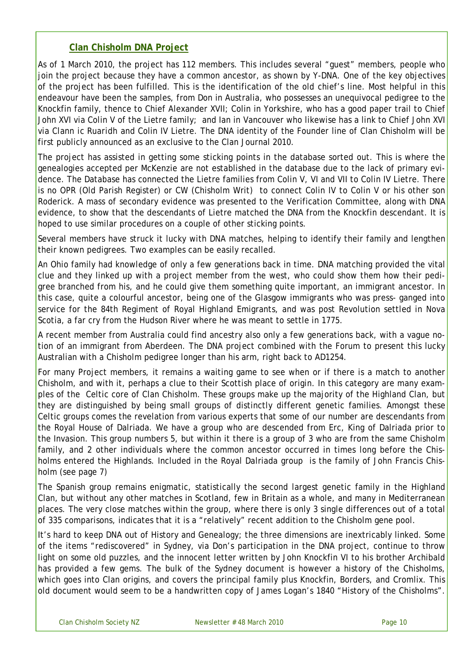# **Clan Chisholm DNA Project**

As of 1 March 2010, the project has 112 members. This includes several "guest" members, people who join the project because they have a common ancestor, as shown by Y-DNA. One of the key objectives of the project has been fulfilled. This is the identification of the old chief's line. Most helpful in this endeavour have been the samples, from Don in Australia, who possesses an unequivocal pedigree to the Knockfin family, thence to Chief Alexander XVII; Colin in Yorkshire, who has a good paper trail to Chief John XVI via Colin V of the Lietre family; and Ian in Vancouver who likewise has a link to Chief John XVI via *Clann ic Ruaridh* and Colin IV Lietre. The DNA identity of the Founder line of Clan Chisholm will be first publicly announced as an exclusive to the Clan Journal 2010.

The project has assisted in getting some sticking points in the database sorted out. This is where the genealogies accepted per McKenzie are not established in the database due to the lack of primary evidence. The Database has connected the Lietre families from Colin V, VI and VII to Colin IV Lietre. There is no OPR (Old Parish Register) or CW (Chisholm Writ) to connect Colin IV to Colin V or his other son Roderick. A mass of secondary evidence was presented to the Verification Committee, along with DNA evidence, to show that the descendants of Lietre matched the DNA from the Knockfin descendant. It is hoped to use similar procedures on a couple of other sticking points.

Several members have struck it lucky with DNA matches, helping to identify their family and lengthen their known pedigrees. Two examples can be easily recalled.

An Ohio family had knowledge of only a few generations back in time. DNA matching provided the vital clue and they linked up with a project member from the west, who could show them how their pedigree branched from his, and he could give them something quite important, an immigrant ancestor. In this case, quite a colourful ancestor, being one of the Glasgow immigrants who was press- ganged into service for the 84th Regiment of Royal Highland Emigrants, and was post Revolution settled in Nova Scotia, a far cry from the Hudson River where he was meant to settle in 1775.

A recent member from Australia could find ancestry also only a few generations back, with a vague notion of an immigrant from Aberdeen. The DNA project combined with the Forum to present this lucky Australian with a Chisholm pedigree longer than his arm, right back to AD1254.

For many Project members, it remains a waiting game to see when or if there is a match to another Chisholm, and with it, perhaps a clue to their Scottish place of origin. In this category are many examples of the Celtic core of Clan Chisholm. These groups make up the majority of the Highland Clan, but they are distinguished by being small groups of distinctly different genetic families. Amongst these Celtic groups comes the revelation from various experts that some of our number are descendants from the Royal House of Dalriada. We have a group who are descended from Erc, King of Dalriada prior to the Invasion. This group numbers 5, but within it there is a group of 3 who are from the same Chisholm family, and 2 other individuals where the common ancestor occurred in times long before the Chisholms entered the Highlands. Included in the Royal Dalriada group is the family of John Francis Chisholm (see page 7)

The Spanish group remains enigmatic, statistically the second largest genetic family in the Highland Clan, but without any other matches in Scotland, few in Britain as a whole, and many in Mediterranean places. The very close matches within the group, where there is only 3 single differences out of a total of 335 comparisons, indicates that it is a "relatively" recent addition to the Chisholm gene pool.

It's hard to keep DNA out of History and Genealogy; the three dimensions are inextricably linked. Some of the items "rediscovered" in Sydney, via Don's participation in the DNA project, continue to throw light on some old puzzles, and the innocent letter written by John Knockfin VI to his brother Archibald has provided a few gems. The bulk of the Sydney document is however a history of the Chisholms, which goes into Clan origins, and covers the principal family plus Knockfin, Borders, and Cromlix. This old document would seem to be a handwritten copy of James Logan's 1840 "History of the Chisholms".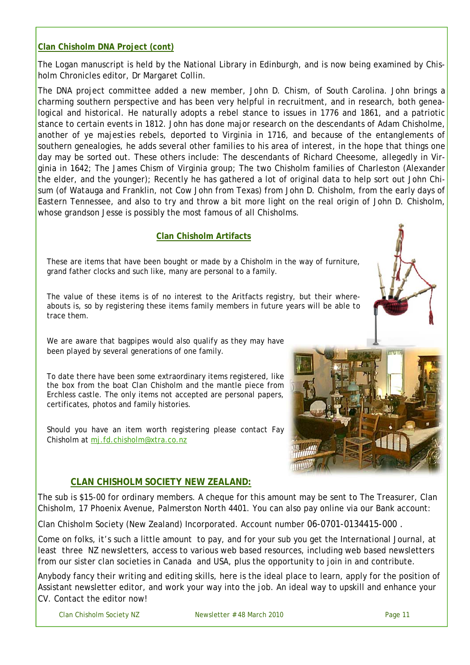# **Clan Chisholm DNA Project (cont)**

The Logan manuscript is held by the National Library in Edinburgh, and is now being examined by Chisholm Chronicles editor, Dr Margaret Collin.

The DNA project committee added a new member, John D. Chism, of South Carolina. John brings a charming southern perspective and has been very helpful in recruitment, and in research, both genealogical and historical. He naturally adopts a rebel stance to issues in 1776 and 1861, and a patriotic stance to certain events in 1812. John has done major research on the descendants of Adam Chisholme, another of *ye majesties rebels*, deported to Virginia in 1716, and because of the entanglements of southern genealogies, he adds several other families to his area of interest, in the hope that things one day may be sorted out. These others include: The descendants of Richard Cheesome, allegedly in Virginia in 1642; The James Chism of Virginia group; The two Chisholm families of Charleston (Alexander the elder, and the younger); Recently he has gathered a lot of original data to help sort out John Chisum (of Watauga and Franklin, not Cow John from Texas) from John D. Chisholm, from the early days of Eastern Tennessee, and also to try and throw a bit more light on the real origin of John D. Chisholm, whose grandson Jesse is possibly the most famous of all Chisholms.

#### **Clan Chisholm Artifacts**

These are items that have been bought or made by a Chisholm in the way of furniture, grand father clocks and such like, many are personal to a family.

The value of these items is of no interest to the Aritfacts registry, but their whereabouts is, so by registering these items family members in future years will be able to trace them.

We are aware that bagpipes would also qualify as they may have been played by several generations of one family.

To date there have been some extraordinary items registered, like the box from the boat Clan Chisholm and the mantle piece from Erchless castle. The only items not accepted are personal papers, certificates, photos and family histories.

Should you have an item worth registering please contact Fay Chisholm at mj.fd.chisholm@xtra.co.nz

# **CLAN CHISHOLM SOCIETY NEW ZEALAND:**

The sub is \$15-00 for ordinary members. A cheque for this amount may be sent to The Treasurer, Clan Chisholm, 17 Phoenix Avenue, Palmerston North 4401. You can also pay online via our Bank account:

Clan Chisholm Society (New Zealand) Incorporated. Account number 06-0701-0134415-000 .

Come on folks, it's such a little amount to pay, and for your sub you get the International Journal, at least three NZ newsletters, access to various web based resources, including web based newsletters from our sister clan societies in Canada and USA, plus the opportunity to join in and contribute.

Anybody fancy their writing and editing skills, here is the ideal place to learn, apply for the position of Assistant newsletter editor, and work your way into the job. An ideal way to upskill and enhance your CV. Contact the editor now!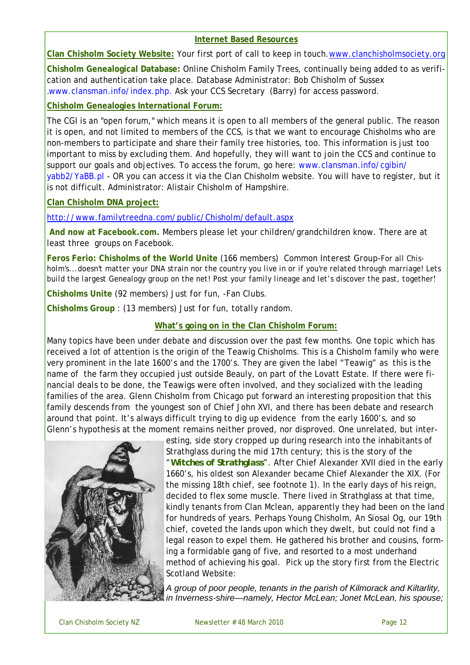#### **Internet Based Resources**

**Clan Chisholm Society Website:** Your first port of call to keep in touch.www.clanchisholmsociety.org

**Chisholm Genealogical Database:** Online Chisholm Family Trees, continually being added to as verification and authentication take place. Database Administrator: Bob Chisholm of Sussex .www.clansman.info/index.php. Ask your CCS Secretary (Barry) for access password.

**Chisholm Genealogies International Forum:**

The CGI is an "open forum," which means it is open to all members of the general public. The reason it is open, and not limited to members of the CCS, is that we want to encourage Chisholms who are non-members to participate and share their family tree histories, too. This information is just too important to miss by excluding them. And hopefully, they will want to join the CCS and continue to support our goals and objectives. To access the forum, go here: www.clansman.info/cgibin/ yabb2/YaBB.pl - OR you can access it via the Clan Chisholm website. You will have to register, but it is not difficult. Administrator: Alistair Chisholm of Hampshire.

**Clan Chisholm DNA project:** 

http://www.familytreedna.com/public/Chisholm/default.aspx

 **And now at Facebook.com.** Members please let your children/grandchildren know. There are at least three groups on Facebook.

**Feros Ferio: Chisholms of the World Unite** (166 members) *Common Interest Group*-*For all Chisholm's...doesn't matter your DNA strain nor the country you live in or if you're related through marriage! Lets build the largest Genealogy group on the net! Post your family lineage and let's discover the past, together*!

**Chisholms Unite** (92 members) *Just for fun, -Fan Clubs.*

**Chisholms Group** : (13 members) *Just for fun, totally random.*

# **What's going on in the Clan Chisholm Forum:**

Many topics have been under debate and discussion over the past few months. One topic which has received a lot of attention is the origin of the Teawig Chisholms. This is a Chisholm family who were very prominent in the late 1600's and the 1700's. They are given the label "Teawig" as this is the name of the farm they occupied just outside Beauly, on part of the Lovatt Estate. If there were financial deals to be done, the Teawigs were often involved, and they socialized with the leading families of the area. Glenn Chisholm from Chicago put forward an interesting proposition that this family descends from the youngest son of Chief John XVI, and there has been debate and research around that point. It's always difficult trying to dig up evidence from the early 1600's, and so Glenn's hypothesis at the moment remains neither proved, nor disproved. One unrelated, but inter-



esting, side story cropped up during research into the inhabitants of Strathglass during the mid 17th century; this is the story of the "*Witches of Strathglass*". After Chief Alexander XVII died in the early 1660's, his oldest son Alexander became Chief Alexander the XIX. (For the missing 18th chief, see footnote 1). In the early days of his reign, decided to flex some muscle. There lived in Strathglass at that time, kindly tenants from Clan Mclean, apparently they had been on the land for hundreds of years. Perhaps Young Chisholm, *An Siosal Og,* our 19th chief, coveted the lands upon which they dwelt, but could not find a legal reason to expel them. He gathered his brother and cousins, forming a formidable gang of five, and resorted to a most underhand method of achieving his goal. Pick up the story first from the Electric Scotland Website:

*A group of poor people, tenants in the parish of Kilmorack and Kiltarlity, in Inverness-shire—namely, Hector McLean; Jonet McLean, his spouse;*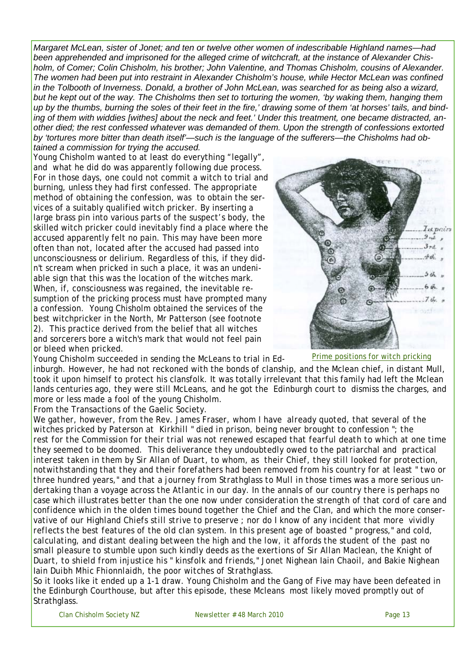*Margaret McLean, sister of Jonet; and ten or twelve other women of indescribable Highland names—had been apprehended and imprisoned for the alleged crime of witchcraft, at the instance of Alexander Chisholm, of Comer; Colin Chisholm, his brother; John Valentine, and Thomas Chisholm, cousins of Alexander. The women had been put into restraint in Alexander Chisholm's house, while Hector McLean was confined in the Tolbooth of Inverness. Donald, a brother of John McLean, was searched for as being also a wizard, but he kept out of the way. The Chisholms then set to torturing the women, 'by waking them, hanging them up by the thumbs, burning the soles of their feet in the fire,' drawing some of them 'at horses' tails, and binding of them with widdies [withes] about the neck and feet.' Under this treatment, one became distracted, another died; the rest confessed whatever was demanded of them. Upon the strength of confessions extorted by 'tortures more bitter than death itself'—such is the language of the sufferers—the Chisholms had ob-*

*tained a commission for trying the accused.*  Young Chisholm wanted to at least do everything "legally", and what he did do was apparently following due process. For in those days, one could not commit a witch to trial and burning, unless they had first confessed. The appropriate method of obtaining the confession, was to obtain the services of a suitably qualified witch pricker. By inserting a large brass pin into various parts of the suspect's body, the skilled witch pricker could inevitably find a place where the accused apparently felt no pain. This may have been more often than not, located after the accused had passed into unconsciousness or delirium. Regardless of this, if they didn't scream when pricked in such a place, it was an undeniable sign that this was the location of the witches mark. When, if, consciousness was regained, the inevitable resumption of the pricking process must have prompted many a confession. Young Chisholm obtained the services of the best witchpricker in the North, Mr Patterson (see footnote 2). This practice derived from the belief that all witches and sorcerers bore a witch's mark that would not feel pain or bleed when pricked.



Prime positions for witch pricking

Young Chisholm succeeded in sending the McLeans to trial in Edinburgh. However, he had not reckoned with the bonds of clanship, and the Mclean chief, in distant Mull, took it upon himself to protect his clansfolk. It was totally irrelevant that this family had left the Mclean lands centuries ago, they were still McLeans, and he got the Edinburgh court to dismiss the charges, and more or less made a fool of the young Chisholm.

From the Transactions of the Gaelic Society.

*We gather, however, from the Rev. James Fraser, whom I have already quoted, that several of the witches pricked by Paterson at Kirkhill " died in prison, being never brought to confession "; the*  rest for the Commission for their trial was not renewed escaped that fearful death to which at one time *they seemed to be doomed. This deliverance they undoubtedly owed to the patriarchal and practical interest taken in them by Sir Allan of Duart, to whom, as their Chief, they still looked for protection, notwithstanding that they and their forefathers had been removed from his country for at least " two or three hundred years," and that a journey from Strathglass to Mull in those times was a more serious undertaking than a voyage across the Atlantic in our day. In the annals of our country there is perhaps no case which illustrates better than the one now under consideration the strength of that cord of care and confidence which in the olden times bound together the Chief and the Clan, and which the more conservative of our Highland Chiefs still strive to preserve ; nor do I know of any incident that more vividly reflects the best features of the old clan system. In this present age of boasted " progress," and cold, calculating, and distant dealing between the high and the low, it affords the student of the past no small pleasure to stumble upon such kindly deeds as the exertions of Sir Allan Maclean, the Knight of Duart, to shield from injustice his " kinsfolk and friends," Jonet Nighean Iain Chaoil, and Bakie Nighean Iain Duibh Mhic Fhionnlaidh, the poor witches of Strathglass.* 

So it looks like it ended up a 1-1 draw. Young Chisholm and the Gang of Five may have been defeated in the Edinburgh Courthouse, but after this episode, these Mcleans most likely moved promptly out of Strathglass.